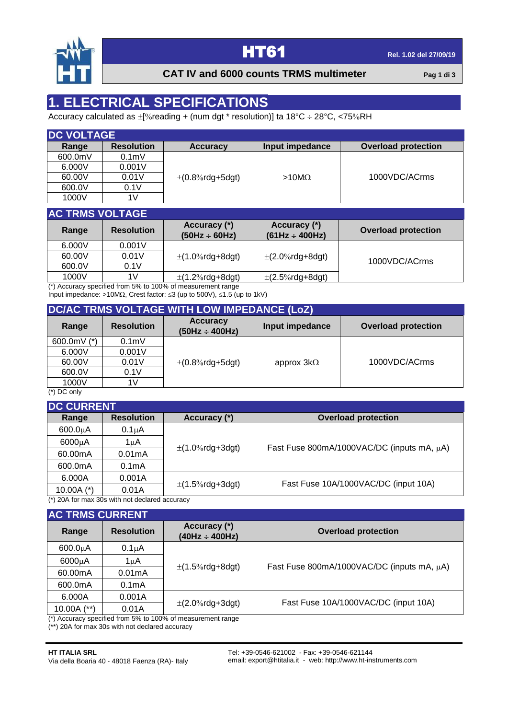

### **CAT IV and 6000 counts TRMS multimeter Pag 1** di 3

# **1. ELECTRICAL SPECIFICATIONS**

Accuracy calculated as  $\pm$  [% reading + (num dgt \* resolution)] ta 18°C  $\div$  28°C, <75% RH

| <b>IDC VOLTAGE</b> |                   |                        |                 |                            |  |
|--------------------|-------------------|------------------------|-----------------|----------------------------|--|
| Range              | <b>Resolution</b> | <b>Accuracy</b>        | Input impedance | <b>Overload protection</b> |  |
| 600.0mV            | 0.1 <sub>m</sub>  |                        |                 |                            |  |
| 6.000V             | 0.001V            |                        |                 |                            |  |
| 60.00V             | 0.01V             | $\pm (0.8\%$ rdg+5dgt) | $>10M\Omega$    | 1000VDC/ACrms              |  |
| 600.0V             | 0.1V              |                        |                 |                            |  |
| 1000V              | 1V                |                        |                 |                            |  |

| <b>AC TRMS VOLTAGE</b> |                   |                                    |                                     |                            |  |
|------------------------|-------------------|------------------------------------|-------------------------------------|----------------------------|--|
| Range                  | <b>Resolution</b> | Accuracy (*)<br>$(50Hz \div 60Hz)$ | Accuracy (*)<br>$(61Hz \div 400Hz)$ | <b>Overload protection</b> |  |
| 6.000V                 | 0.001V            |                                    |                                     |                            |  |
| 60.00V                 | 0.01V             | $\pm$ (1.0%rdg+8dgt)               | $\pm$ (2.0%rdg+8dgt)                | 1000VDC/ACrms              |  |
| 600.0V                 | 0.1V              |                                    |                                     |                            |  |
| 1000V                  | 1V                | $\pm$ (1.2%rdg+8dgt)               | $\pm$ (2.5%rdg+8dgt)                |                            |  |

(\*) Accuracy specified from 5% to 100% of measurement range Input impedance: >10M $\Omega$ , Crest factor:  $\leq$ 3 (up to 500V),  $\leq$ 1.5 (up to 1kV)

# **DC/AC TRMS VOLTAGE WITH LOW IMPEDANCE (LoZ)**

| Range                      | <b>Resolution</b> | <b>Accuracy</b><br>$(50Hz \div 400Hz)$ | Input impedance   | <b>Overload protection</b> |
|----------------------------|-------------------|----------------------------------------|-------------------|----------------------------|
| 600.0mV $(*)$              | 0.1 <sub>m</sub>  |                                        |                   |                            |
| 6.000V                     | 0.001V            |                                        |                   |                            |
| 60.00V                     | 0.01V             | $\pm (0.8\%$ rdg+5dgt)                 | approx $3k\Omega$ | 1000VDC/ACrms              |
| 600.0V                     | 0.1V              |                                        |                   |                            |
| 1000V<br>$\cdots$ $\cdots$ | 1V                |                                        |                   |                            |

(\*) DC only

| <b>DC CURRENT</b> |                                                 |                      |                                            |  |  |
|-------------------|-------------------------------------------------|----------------------|--------------------------------------------|--|--|
| Range             | <b>Resolution</b>                               | Accuracy (*)         | <b>Overload protection</b>                 |  |  |
| $600.0\mu A$      | $0.1\muA$                                       |                      |                                            |  |  |
| 6000µA            | 1uA                                             | $\pm$ (1.0%rdg+3dgt) | Fast Fuse 800mA/1000VAC/DC (inputs mA, µA) |  |  |
| 60.00mA           | 0.01mA                                          |                      |                                            |  |  |
| 600.0mA           | 0.1 <sub>m</sub> A                              |                      |                                            |  |  |
| 6.000A            | 0.001A                                          |                      | Fast Fuse 10A/1000VAC/DC (input 10A)       |  |  |
| 10.00A $(*)$      | 0.01A                                           | $\pm$ (1.5%rdg+3dgt) |                                            |  |  |
|                   | $^*$ 200 for may 30s with not declared accuracy |                      |                                            |  |  |

(\*) 20A for max 30s with not declared accuracy

| <b>AC TRMS CURRENT</b> |                    |                                                                                                                   |                                            |  |
|------------------------|--------------------|-------------------------------------------------------------------------------------------------------------------|--------------------------------------------|--|
| Range                  | <b>Resolution</b>  | Accuracy (*)<br>$(40Hz \div 400Hz)$                                                                               | <b>Overload protection</b>                 |  |
| $600.0\mu A$           | $0.1\mu A$         |                                                                                                                   |                                            |  |
| 6000µA                 | 1 uA               | $\pm$ (1.5%rdg+8dgt)                                                                                              | Fast Fuse 800mA/1000VAC/DC (inputs mA, µA) |  |
| 60.00mA                | 0.01mA             |                                                                                                                   |                                            |  |
| 600.0mA                | 0.1 <sub>m</sub> A |                                                                                                                   |                                            |  |
| 6.000A                 | 0.001A             |                                                                                                                   |                                            |  |
| 10.00A $(**)$          | 0.01A              |                                                                                                                   |                                            |  |
|                        |                    | $\pm$ (2.0%rdg+3dgt)<br>$\binom{*}{k}$ hosistanic properties of the mean $E_0$ to $4000$ of means it the three of | Fast Fuse 10A/1000VAC/DC (input 10A)       |  |

Accuracy specified from 5% to 100% of measurement range

( $\degree$ ) Accuracy specified from  $\degree$  ...

### **HT ITALIA SRL**

Via della Boaria 40 - 48018 Faenza (RA)- Italy

Tel: +39-0546-621002 - Fax: +39-0546-621144 email: export@htitalia.it - web: http://www.ht-instruments.com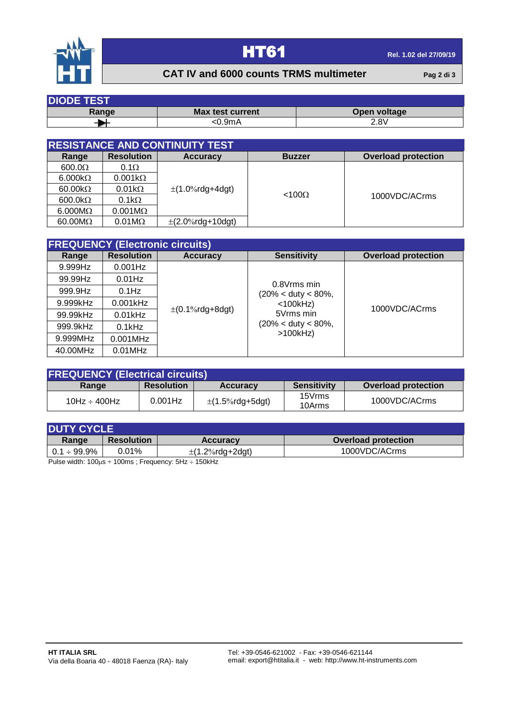

# **HT61 Rel. 1.02 del 27/09/19**

## **CAT IV and 6000 counts TRMS multimeter Pag 2 di 3**

| <b>DIODE TEST</b> |                         |              |  |  |
|-------------------|-------------------------|--------------|--|--|
| Range             | <b>Max test current</b> | Open voltage |  |  |
|                   | <0.9mA                  | 2.8V         |  |  |

| <b>RESISTANCE AND CONTINUITY TEST</b>                                                   |                                      |                       |               |                            |  |  |
|-----------------------------------------------------------------------------------------|--------------------------------------|-----------------------|---------------|----------------------------|--|--|
| Range                                                                                   | <b>Resolution</b><br><b>Accuracy</b> |                       | <b>Buzzer</b> | <b>Overload protection</b> |  |  |
| 600.0 <omega< td=""><td><math>0.1\Omega</math></td><td></td><td></td><td></td></omega<> | $0.1\Omega$                          |                       |               |                            |  |  |
| $6.000k\Omega$                                                                          | $0.001k\Omega$                       |                       |               |                            |  |  |
| 60.00 $k\Omega$                                                                         | $0.01k\Omega$                        | $\pm$ (1.0%rdg+4dgt)  |               |                            |  |  |
| $600.0 k\Omega$                                                                         | $0.1 \text{k}\Omega$                 |                       | $< 100\Omega$ | 1000VDC/ACrms              |  |  |
| $6.000M\Omega$                                                                          | $0.001M\Omega$                       |                       |               |                            |  |  |
| $60.00 \text{M}\Omega$                                                                  | $0.01 \text{M}\Omega$                | $\pm$ (2.0%rdg+10dgt) |               |                            |  |  |

| <b>FREQUENCY (Electronic circuits)</b> |                   |                      |                                                                |                            |  |  |
|----------------------------------------|-------------------|----------------------|----------------------------------------------------------------|----------------------------|--|--|
| Range                                  | <b>Resolution</b> | <b>Accuracy</b>      | <b>Sensitivity</b>                                             | <b>Overload protection</b> |  |  |
| 9.999Hz                                | $0.001$ Hz        |                      |                                                                |                            |  |  |
| 99.99Hz                                | $0.01$ Hz         |                      | 0.8Vrms min                                                    |                            |  |  |
| 999.9Hz                                | $0.1$ Hz          |                      | $(20\% < \text{duty} < 80\%$ ,<br>$<$ 100 $k$ Hz)<br>5Vrms min | 1000VDC/ACrms              |  |  |
| 9.999kHz                               | $0.001$ kHz       |                      |                                                                |                            |  |  |
| 99.99kHz                               | $0.01$ kHz        | $\pm$ (0.1%rdg+8dgt) |                                                                |                            |  |  |
| 999.9kHz                               | $0.1$ kHz         |                      | $(20\% < \text{duty} < 80\%$ ,                                 |                            |  |  |
| 9.999MHz                               | $0.001$ MHz       |                      | $>100$ kHz)                                                    |                            |  |  |
| 40.00MHz                               | $0.01$ MHz        |                      |                                                                |                            |  |  |

| <b>FREQUENCY (Electrical circuits)</b> |                   |                      |                    |                            |  |
|----------------------------------------|-------------------|----------------------|--------------------|----------------------------|--|
| Range                                  | <b>Resolution</b> | <b>Accuracy</b>      | <b>Sensitivity</b> | <b>Overload protection</b> |  |
|                                        | $0.001$ Hz        |                      | 15Vrms             | 1000VDC/ACrms              |  |
| 10Hz $\div$ 400Hz                      |                   | $\pm$ (1.5%rdg+5dgt) | 10Arms             |                            |  |

| <b>IDUTY CYCLE</b> |                   |                      |                            |  |
|--------------------|-------------------|----------------------|----------------------------|--|
| Range              | <b>Resolution</b> | <b>Accuracy</b>      | <b>Overload protection</b> |  |
| $0.1\div 99.9\%$   | 0.01%             | $\pm$ (1.2%rdg+2dgt) | 1000VDC/ACrms              |  |

Pulse width:  $100\mu s \div 100ms$ ; Frequency:  $5Hz \div 150kHz$